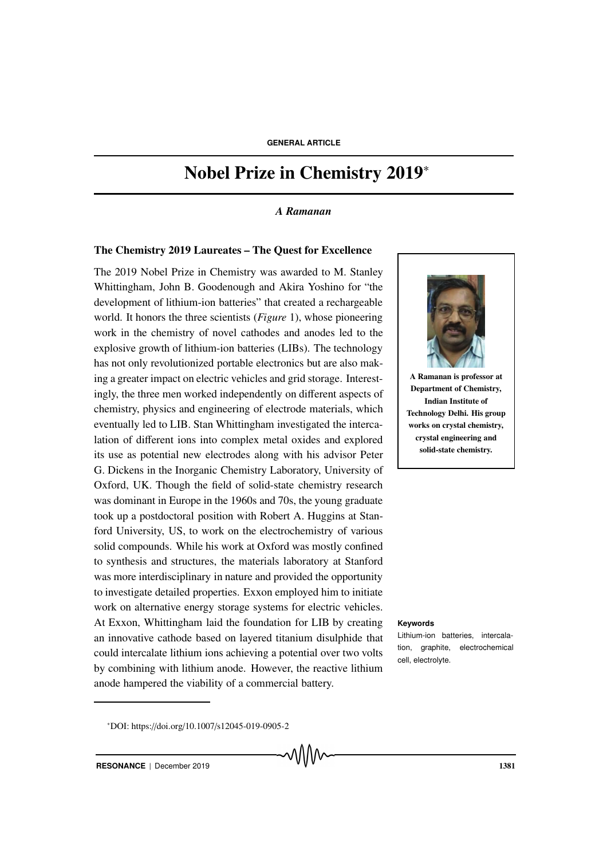# Nobel Prize in Chemistry 2019<sup>∗</sup>

#### *A Ramanan*

#### The Chemistry 2019 Laureates – The Quest for Excellence

The 2019 Nobel Prize in Chemistry was awarded to M. Stanley Whittingham, John B. Goodenough and Akira Yoshino for "the development of lithium-ion batteries" that created a rechargeable world. It honors the three scientists (*Figure* 1), whose pioneering work in the chemistry of novel cathodes and anodes led to the explosive growth of lithium-ion batteries (LIBs). The technology has not only revolutionized portable electronics but are also making a greater impact on electric vehicles and grid storage. Interestingly, the three men worked independently on different aspects of chemistry, physics and engineering of electrode materials, which eventually led to LIB. Stan Whittingham investigated the intercalation of different ions into complex metal oxides and explored its use as potential new electrodes along with his advisor Peter G. Dickens in the Inorganic Chemistry Laboratory, University of Oxford, UK. Though the field of solid-state chemistry research was dominant in Europe in the 1960s and 70s, the young graduate took up a postdoctoral position with Robert A. Huggins at Stanford University, US, to work on the electrochemistry of various solid compounds. While his work at Oxford was mostly confined to synthesis and structures, the materials laboratory at Stanford was more interdisciplinary in nature and provided the opportunity to investigate detailed properties. Exxon employed him to initiate work on alternative energy storage systems for electric vehicles. At Exxon, Whittingham laid the foundation for LIB by creating **Keywords** an innovative cathode based on layered titanium disulphide that could intercalate lithium ions achieving a potential over two volts by combining with lithium anode. However, the reactive lithium anode hampered the viability of a commercial battery.



A Ramanan is professor at Department of Chemistry, Indian Institute of Technology Delhi. His group works on crystal chemistry, crystal engineering and solid-state chemistry.

Lithium-ion batteries, intercalation, graphite, electrochemical cell, electrolyte.

<sup>∗</sup>DOI: https://doi.org/10.1007/s12045-019-0905-2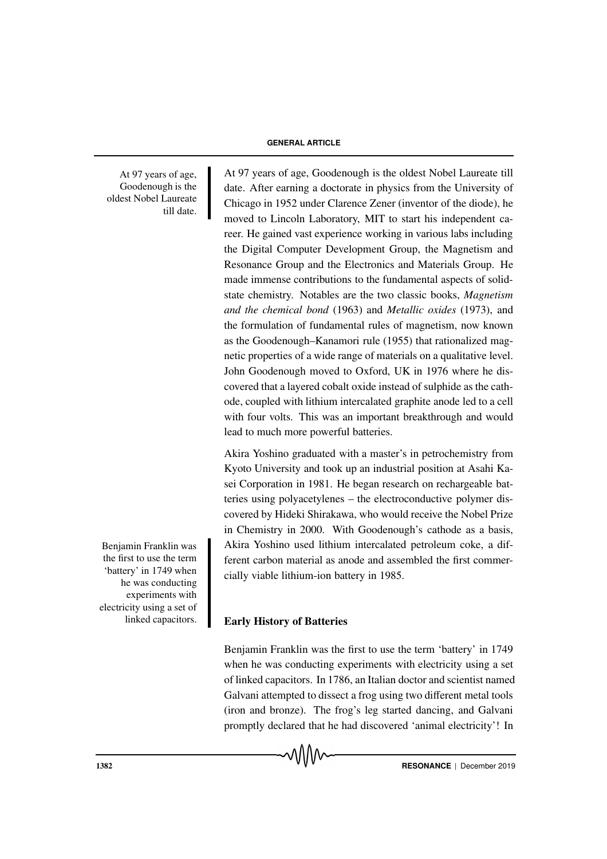At 97 years of age, Goodenough is the oldest Nobel Laureate till date.

moved to Lincoln Laboratory, MIT to start his independent career. He gained vast experience working in various labs including the Digital Computer Development Group, the Magnetism and Resonance Group and the Electronics and Materials Group. He made immense contributions to the fundamental aspects of solidstate chemistry. Notables are the two classic books, *Magnetism and the chemical bond* (1963) and *Metallic oxides* (1973), and the formulation of fundamental rules of magnetism, now known as the Goodenough–Kanamori rule (1955) that rationalized magnetic properties of a wide range of materials on a qualitative level. John Goodenough moved to Oxford, UK in 1976 where he discovered that a layered cobalt oxide instead of sulphide as the cathode, coupled with lithium intercalated graphite anode led to a cell with four volts. This was an important breakthrough and would lead to much more powerful batteries.

97 years of age, Goodenough is the oldest Nobel Laureate till date. After earning a doctorate in physics from the University of Chicago in 1952 under Clarence Zener (inventor of the diode), he

Akira Yoshino graduated with a master's in petrochemistry from Kyoto University and took up an industrial position at Asahi Kasei Corporation in 1981. He began research on rechargeable batteries using polyacetylenes – the electroconductive polymer discovered by Hideki Shirakawa, who would receive the Nobel Prize in Chemistry in 2000. With Goodenough's cathode as a basis, Akira Yoshino used lithium intercalated petroleum coke, a different carbon material as anode and assembled the first commercially viable lithium-ion battery in 1985.

# Early History of Batteries

Benjamin Franklin was the first to use the term 'battery' in 1749 when he was conducting experiments with electricity using a set of linked capacitors. In 1786, an Italian doctor and scientist named Galvani attempted to dissect a frog using two different metal tools (iron and bronze). The frog's leg started dancing, and Galvani promptly declared that he had discovered 'animal electricity'! In

Benjamin Franklin was the first to use the term 'battery' in 1749 when he was conducting experiments with electricity using a set of linked capacitors.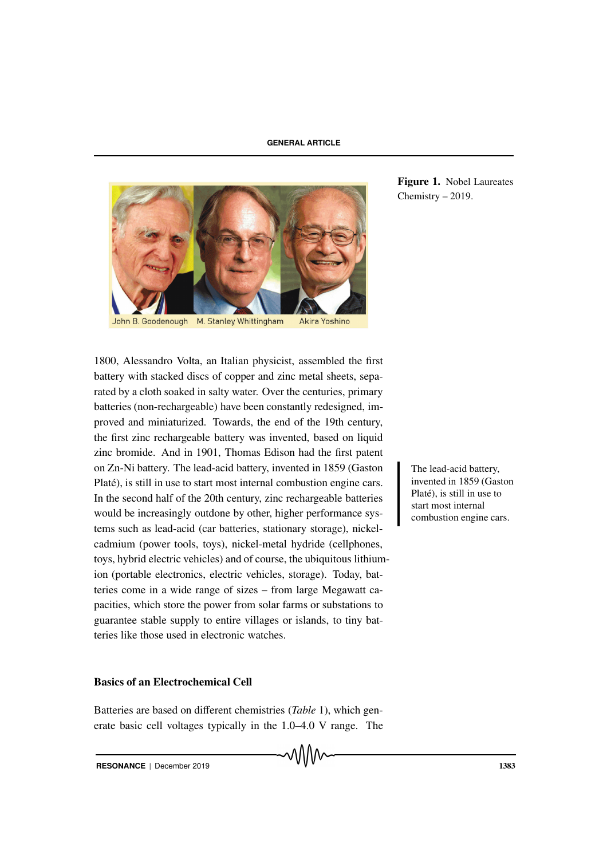

1800, Alessandro Volta, an Italian physicist, assembled the first battery with stacked discs of copper and zinc metal sheets, separated by a cloth soaked in salty water. Over the centuries, primary batteries (non-rechargeable) have been constantly redesigned, improved and miniaturized. Towards, the end of the 19th century, the first zinc rechargeable battery was invented, based on liquid zinc bromide. And in 1901, Thomas Edison had the first patent on Zn-Ni battery. The lead-acid battery, invented in 1859 (Gaston The lead-acid battery, Platé), is still in use to start most internal combustion engine cars. In the second half of the 20th century, zinc rechargeable batteries would be increasingly outdone by other, higher performance systems such as lead-acid (car batteries, stationary storage), nickelcadmium (power tools, toys), nickel-metal hydride (cellphones, toys, hybrid electric vehicles) and of course, the ubiquitous lithiumion (portable electronics, electric vehicles, storage). Today, batteries come in a wide range of sizes – from large Megawatt capacities, which store the power from solar farms or substations to guarantee stable supply to entire villages or islands, to tiny batteries like those used in electronic watches.

## Basics of an Electrochemical Cell

Batteries are based on different chemistries (*Table* 1), which generate basic cell voltages typically in the 1.0–4.0 V range. The

Figure 1. Nobel Laureates Chemistry – 2019.

invented in 1859 (Gaston Platé), is still in use to start most internal combustion engine cars.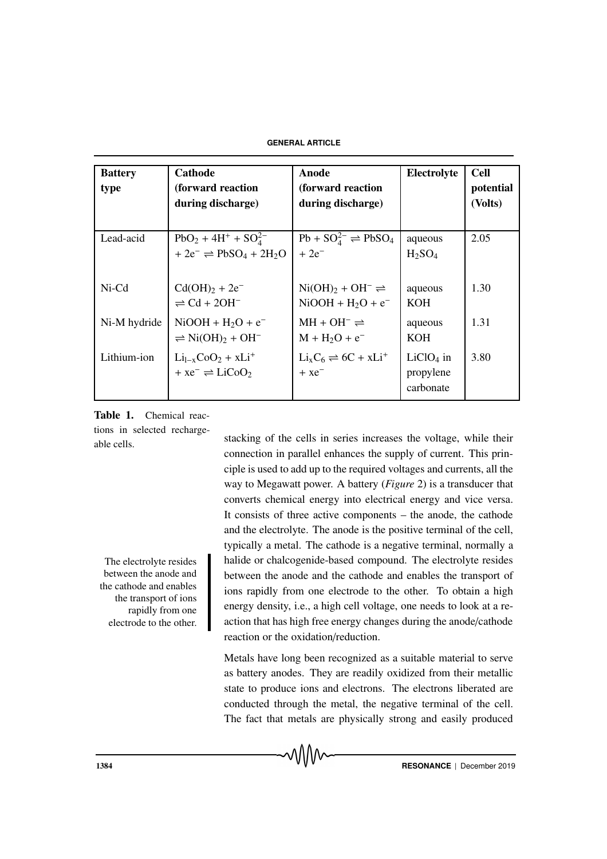| <b>Battery</b><br>type | Cathode<br>(forward reaction<br>during discharge)                                   | Anode<br>(forward reaction<br>during discharge)                   | Electrolyte                               | <b>Cell</b><br>potential<br>(Volts) |
|------------------------|-------------------------------------------------------------------------------------|-------------------------------------------------------------------|-------------------------------------------|-------------------------------------|
| Lead-acid              | $PbO_2 + 4H^+ + SO_4^{2-}$<br>$+2e^- \rightleftharpoons PbSO_4 + 2H_2O$             | $Pb + SO42- \rightleftharpoons PbSO4$<br>$+2e^{-}$                | aqueous<br>H <sub>2</sub> SO <sub>4</sub> | 2.05                                |
| $Ni-Cd$                | $Cd(OH)2 + 2e^-$<br>$\rightleftharpoons$ Cd + 2OH <sup>-</sup>                      | $Ni(OH)_{2} + OH^{-} \rightleftharpoons$<br>$NiOOH + H2O + e^{-}$ | aqueous<br><b>KOH</b>                     | 1.30                                |
| Ni-M hydride           | $NiOOH + H2O + e^{-}$<br>$\rightleftharpoons$ Ni(OH) <sub>2</sub> + OH <sup>-</sup> | $MH + OH^- \rightleftharpoons$<br>$M + H2O + e^{-}$               | aqueous<br><b>KOH</b>                     | 1.31                                |
| Lithium-ion            | $Li_{1-x}CoO_2 + xLi^+$<br>$+ xe^- \rightleftharpoons LiCoO_2$                      | $Li_xC_6 \rightleftharpoons 6C + xLi^+$<br>$+xe^{-}$              | $LiClO4$ in<br>propylene<br>carbonate     | 3.80                                |

Table 1. Chemical reactions in selected recharge-

between the anode and the cathode and enables the transport of ions rapidly from one electrode to the other.

able cells.<br>stacking of the cells in series increases the voltage, while their connection in parallel enhances the supply of current. This principle is used to add up to the required voltages and currents, all the way to Megawatt power. A battery (*Figure* 2) is a transducer that converts chemical energy into electrical energy and vice versa. It consists of three active components – the anode, the cathode and the electrolyte. The anode is the positive terminal of the cell, typically a metal. The cathode is a negative terminal, normally a The electrolyte resides halide or chalcogenide-based compound. The electrolyte resides between the anode and the cathode and enables the transport of ions rapidly from one electrode to the other. To obtain a high energy density, i.e., a high cell voltage, one needs to look at a reaction that has high free energy changes during the anode/cathode reaction or the oxidation/reduction.

> Metals have long been recognized as a suitable material to serve as battery anodes. They are readily oxidized from their metallic state to produce ions and electrons. The electrons liberated are conducted through the metal, the negative terminal of the cell. The fact that metals are physically strong and easily produced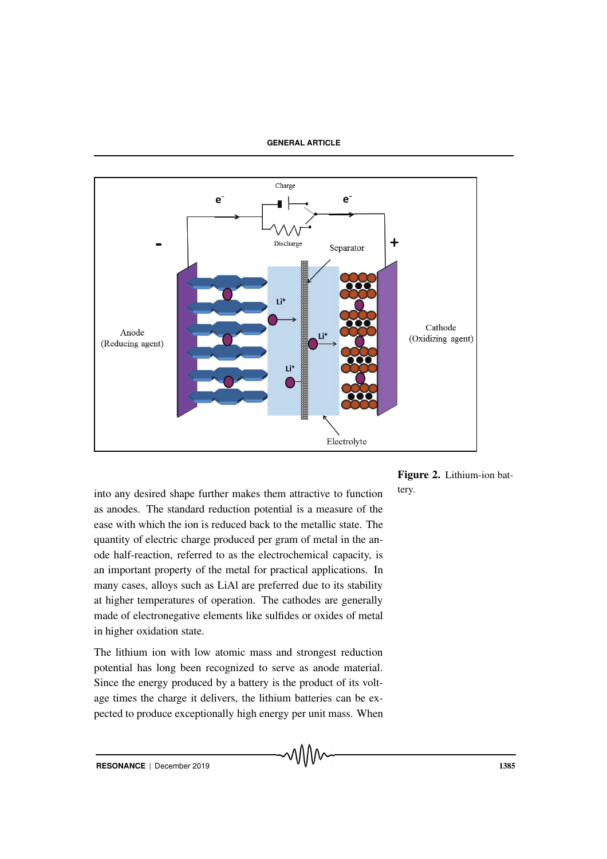

Figure 2. Lithium-ion bat-

into any desired shape further makes them attractive to function tery. as anodes. The standard reduction potential is a measure of the ease with which the ion is reduced back to the metallic state. The quantity of electric charge produced per gram of metal in the anode half-reaction, referred to as the electrochemical capacity, is an important property of the metal for practical applications. In many cases, alloys such as LiAl are preferred due to its stability at higher temperatures of operation. The cathodes are generally made of electronegative elements like sulfides or oxides of metal in higher oxidation state.

The lithium ion with low atomic mass and strongest reduction potential has long been recognized to serve as anode material. Since the energy produced by a battery is the product of its voltage times the charge it delivers, the lithium batteries can be expected to produce exceptionally high energy per unit mass. When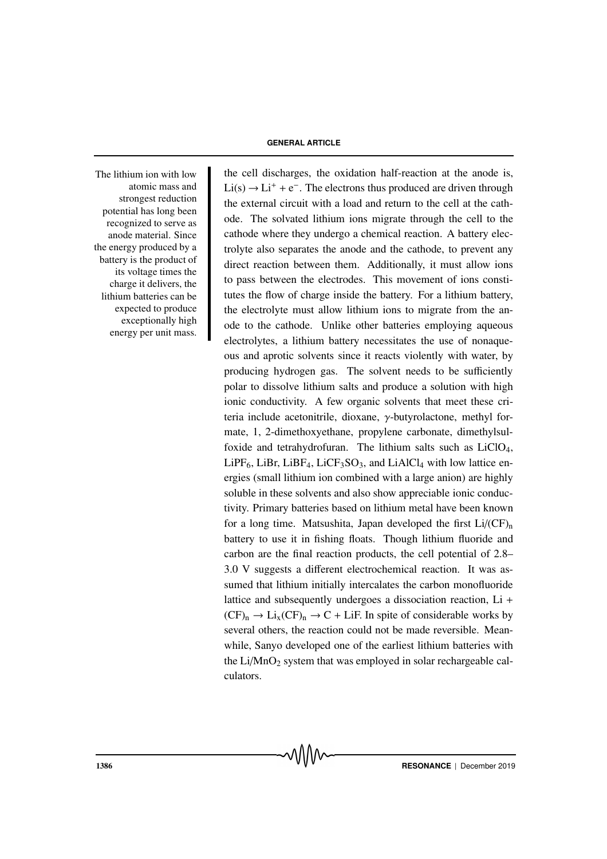atomic mass and strongest reduction potential has long been recognized to serve as anode material. Since the energy produced by a battery is the product of its voltage times the charge it delivers, the lithium batteries can be expected to produce exceptionally high energy per unit mass.

The lithium ion with low the cell discharges, the oxidation half-reaction at the anode is,  $Li(s) \rightarrow Li^{+} + e^{-}$ . The electrons thus produced are driven through the external circuit with a load and return to the cell at the cathode. The solvated lithium ions migrate through the cell to the cathode where they undergo a chemical reaction. A battery electrolyte also separates the anode and the cathode, to prevent any direct reaction between them. Additionally, it must allow ions to pass between the electrodes. This movement of ions constitutes the flow of charge inside the battery. For a lithium battery, the electrolyte must allow lithium ions to migrate from the anode to the cathode. Unlike other batteries employing aqueous electrolytes, a lithium battery necessitates the use of nonaqueous and aprotic solvents since it reacts violently with water, by producing hydrogen gas. The solvent needs to be sufficiently polar to dissolve lithium salts and produce a solution with high ionic conductivity. A few organic solvents that meet these criteria include acetonitrile, dioxane, γ-butyrolactone, methyl formate, 1, 2-dimethoxyethane, propylene carbonate, dimethylsulfoxide and tetrahydrofuran. The lithium salts such as  $LiClO<sub>4</sub>$ ,  $LiPF_6$ , LiBr, LiBF<sub>4</sub>, LiCF<sub>3</sub>SO<sub>3</sub>, and LiAlCl<sub>4</sub> with low lattice energies (small lithium ion combined with a large anion) are highly soluble in these solvents and also show appreciable ionic conductivity. Primary batteries based on lithium metal have been known for a long time. Matsushita, Japan developed the first  $Li/(CF)_{n}$ battery to use it in fishing floats. Though lithium fluoride and carbon are the final reaction products, the cell potential of 2.8– 3.0 V suggests a different electrochemical reaction. It was assumed that lithium initially intercalates the carbon monofluoride lattice and subsequently undergoes a dissociation reaction, Li +  $(CF)_n \to Li_x(CF)_n \to C + LiF$ . In spite of considerable works by several others, the reaction could not be made reversible. Meanwhile, Sanyo developed one of the earliest lithium batteries with the  $Li/MnO<sub>2</sub>$  system that was employed in solar rechargeable calculators.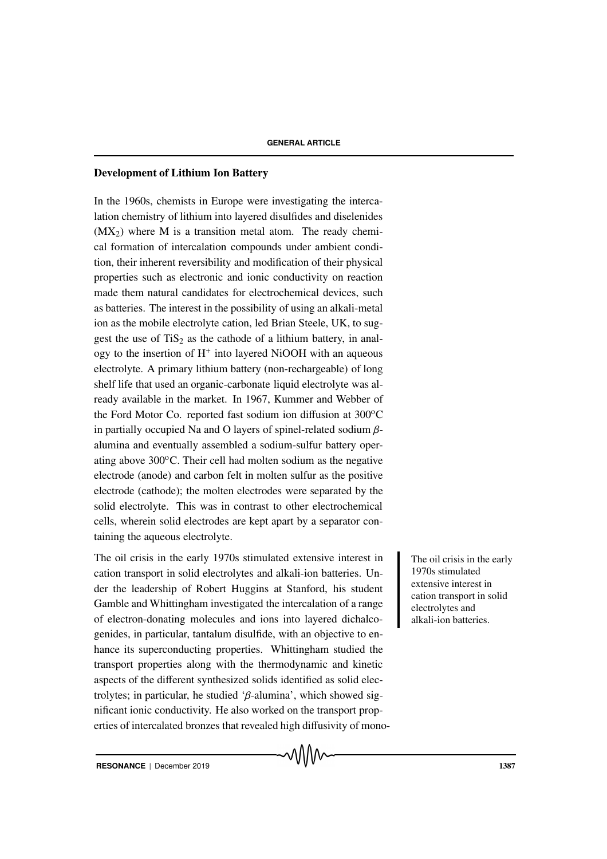## Development of Lithium Ion Battery

In the 1960s, chemists in Europe were investigating the intercalation chemistry of lithium into layered disulfides and diselenides  $(MX<sub>2</sub>)$  where M is a transition metal atom. The ready chemical formation of intercalation compounds under ambient condition, their inherent reversibility and modification of their physical properties such as electronic and ionic conductivity on reaction made them natural candidates for electrochemical devices, such as batteries. The interest in the possibility of using an alkali-metal ion as the mobile electrolyte cation, led Brian Steele, UK, to suggest the use of  $TiS<sub>2</sub>$  as the cathode of a lithium battery, in analogy to the insertion of  $H^+$  into layered NiOOH with an aqueous electrolyte. A primary lithium battery (non-rechargeable) of long shelf life that used an organic-carbonate liquid electrolyte was already available in the market. In 1967, Kummer and Webber of the Ford Motor Co. reported fast sodium ion diffusion at  $300^{\circ}$ C in partially occupied Na and O layers of spinel-related sodium βalumina and eventually assembled a sodium-sulfur battery operating above  $300^{\circ}$ C. Their cell had molten sodium as the negative electrode (anode) and carbon felt in molten sulfur as the positive electrode (cathode); the molten electrodes were separated by the solid electrolyte. This was in contrast to other electrochemical cells, wherein solid electrodes are kept apart by a separator containing the aqueous electrolyte.

The oil crisis in the early 1970s stimulated extensive interest in The oil crisis in the early cation transport in solid electrolytes and alkali-ion batteries. Under the leadership of Robert Huggins at Stanford, his student Gamble and Whittingham investigated the intercalation of a range of electron-donating molecules and ions into layered dichalcogenides, in particular, tantalum disulfide, with an objective to enhance its superconducting properties. Whittingham studied the transport properties along with the thermodynamic and kinetic aspects of the different synthesized solids identified as solid electrolytes; in particular, he studied 'β-alumina', which showed significant ionic conductivity. He also worked on the transport properties of intercalated bronzes that revealed high diffusivity of mono-

1970s stimulated extensive interest in cation transport in solid electrolytes and alkali-ion batteries.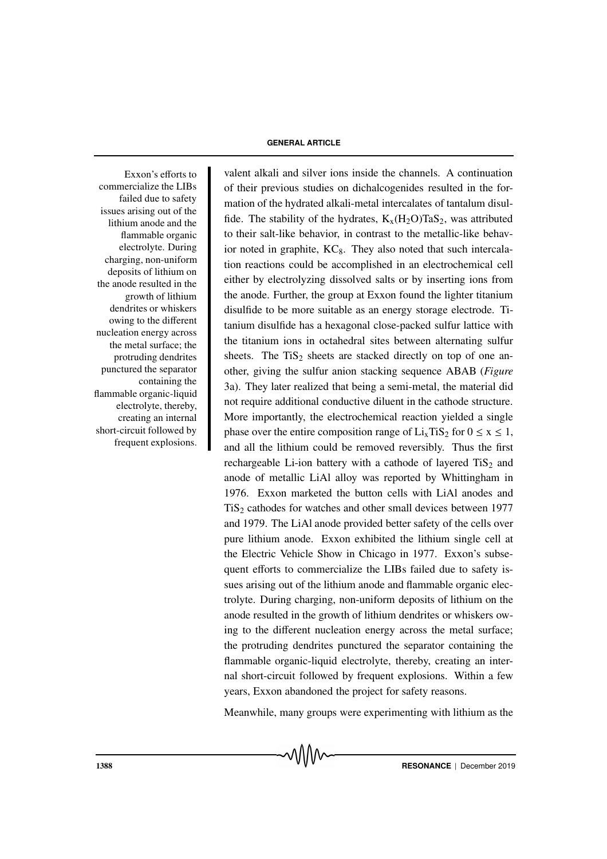commercialize the LIBs failed due to safety issues arising out of the lithium anode and the flammable organic electrolyte. During charging, non-uniform deposits of lithium on the anode resulted in the growth of lithium dendrites or whiskers owing to the different nucleation energy across the metal surface; the protruding dendrites punctured the separator containing the flammable organic-liquid electrolyte, thereby, creating an internal short-circuit followed by frequent explosions.

Exxon's efforts to valent alkali and silver ions inside the channels. A continuation of their previous studies on dichalcogenides resulted in the formation of the hydrated alkali-metal intercalates of tantalum disulfide. The stability of the hydrates,  $K_x(H_2O)TaS_2$ , was attributed to their salt-like behavior, in contrast to the metallic-like behavior noted in graphite,  $KC_8$ . They also noted that such intercalation reactions could be accomplished in an electrochemical cell either by electrolyzing dissolved salts or by inserting ions from the anode. Further, the group at Exxon found the lighter titanium disulfide to be more suitable as an energy storage electrode. Titanium disulfide has a hexagonal close-packed sulfur lattice with the titanium ions in octahedral sites between alternating sulfur sheets. The  $TiS<sub>2</sub>$  sheets are stacked directly on top of one another, giving the sulfur anion stacking sequence ABAB (*Figure* 3a). They later realized that being a semi-metal, the material did not require additional conductive diluent in the cathode structure. More importantly, the electrochemical reaction yielded a single phase over the entire composition range of  $Li<sub>x</sub>TiS<sub>2</sub>$  for  $0 \le x \le 1$ , and all the lithium could be removed reversibly. Thus the first rechargeable Li-ion battery with a cathode of layered  $TiS<sub>2</sub>$  and anode of metallic LiAl alloy was reported by Whittingham in 1976. Exxon marketed the button cells with LiAl anodes and TiS<sub>2</sub> cathodes for watches and other small devices between 1977 and 1979. The LiAl anode provided better safety of the cells over pure lithium anode. Exxon exhibited the lithium single cell at the Electric Vehicle Show in Chicago in 1977. Exxon's subsequent efforts to commercialize the LIBs failed due to safety issues arising out of the lithium anode and flammable organic electrolyte. During charging, non-uniform deposits of lithium on the anode resulted in the growth of lithium dendrites or whiskers owing to the different nucleation energy across the metal surface; the protruding dendrites punctured the separator containing the flammable organic-liquid electrolyte, thereby, creating an internal short-circuit followed by frequent explosions. Within a few years, Exxon abandoned the project for safety reasons.

Meanwhile, many groups were experimenting with lithium as the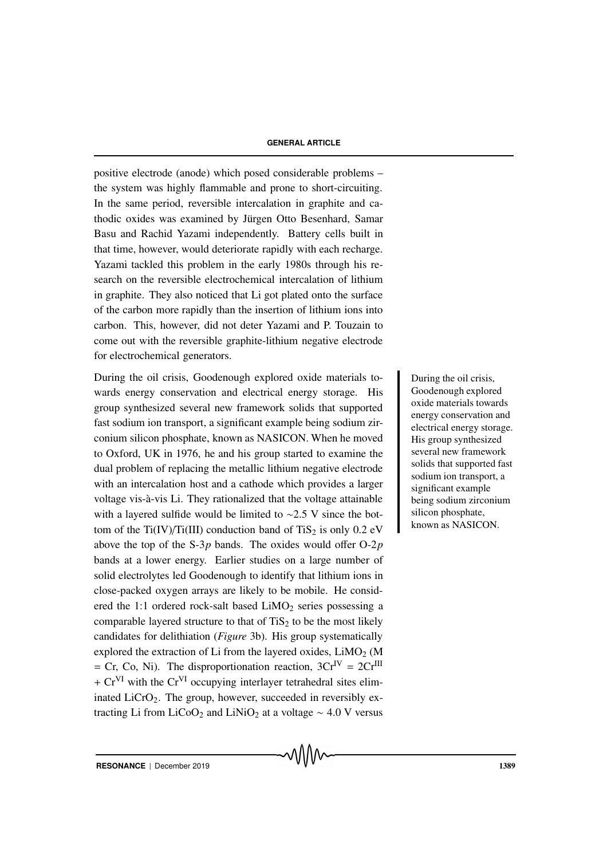positive electrode (anode) which posed considerable problems – the system was highly flammable and prone to short-circuiting. In the same period, reversible intercalation in graphite and cathodic oxides was examined by Jürgen Otto Besenhard, Samar Basu and Rachid Yazami independently. Battery cells built in that time, however, would deteriorate rapidly with each recharge. Yazami tackled this problem in the early 1980s through his research on the reversible electrochemical intercalation of lithium in graphite. They also noticed that Li got plated onto the surface of the carbon more rapidly than the insertion of lithium ions into carbon. This, however, did not deter Yazami and P. Touzain to come out with the reversible graphite-lithium negative electrode for electrochemical generators.

During the oil crisis, Goodenough explored oxide materials to-<br>
During the oil crisis, wards energy conservation and electrical energy storage. His group synthesized several new framework solids that supported fast sodium ion transport, a significant example being sodium zirconium silicon phosphate, known as NASICON. When he moved to Oxford, UK in 1976, he and his group started to examine the dual problem of replacing the metallic lithium negative electrode with an intercalation host and a cathode which provides a larger voltage vis-à-vis Li. They rationalized that the voltage attainable with a layered sulfide would be limited to ∼2.5 V since the bottom of the Ti(IV)/Ti(III) conduction band of TiS<sub>2</sub> is only  $0.2$  eV above the top of the S-3*p* bands. The oxides would offer O-2*p* bands at a lower energy. Earlier studies on a large number of solid electrolytes led Goodenough to identify that lithium ions in close-packed oxygen arrays are likely to be mobile. He considered the 1:1 ordered rock-salt based  $LiMO<sub>2</sub>$  series possessing a comparable layered structure to that of  $TiS<sub>2</sub>$  to be the most likely candidates for delithiation (*Figure* 3b). His group systematically explored the extraction of Li from the layered oxides,  $LiMO<sub>2</sub>$  (M  $=$  Cr, Co, Ni). The disproportionation reaction,  $3Cr^{IV} = 2Cr^{III}$  $+ Cr<sup>VI</sup>$  with the  $Cr<sup>VI</sup>$  occupying interlayer tetrahedral sites eliminated  $LiCrO<sub>2</sub>$ . The group, however, succeeded in reversibly extracting Li from LiCoO<sub>2</sub> and LiNiO<sub>2</sub> at a voltage  $\sim$  4.0 V versus

Goodenough explored oxide materials towards energy conservation and electrical energy storage. His group synthesized several new framework solids that supported fast sodium ion transport, a significant example being sodium zirconium silicon phosphate, known as NASICON.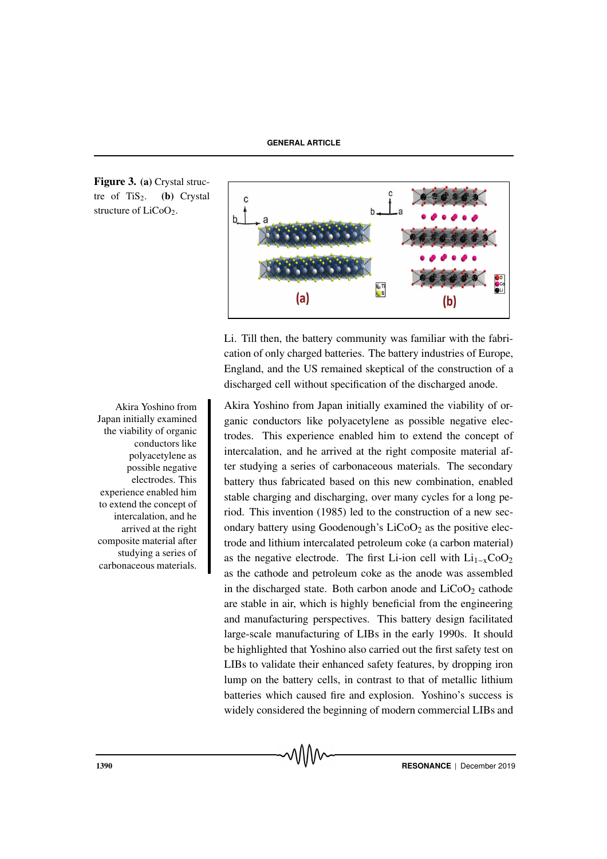Figure 3. (a) Crystal structre of  $TiS<sub>2</sub>$ . (b) Crystal structure of  $LiCoO<sub>2</sub>$ .

Akira Yoshino from Japan initially examined the viability of organic conductors like polyacetylene as possible negative electrodes. This experience enabled him to extend the concept of intercalation, and he arrived at the right composite material after studying a series of carbonaceous materials.



Li. Till then, the battery community was familiar with the fabrication of only charged batteries. The battery industries of Europe, England, and the US remained skeptical of the construction of a discharged cell without specification of the discharged anode.

Akira Yoshino from Japan initially examined the viability of organic conductors like polyacetylene as possible negative electrodes. This experience enabled him to extend the concept of intercalation, and he arrived at the right composite material after studying a series of carbonaceous materials. The secondary battery thus fabricated based on this new combination, enabled stable charging and discharging, over many cycles for a long period. This invention (1985) led to the construction of a new secondary battery using Goodenough's  $LiCoO<sub>2</sub>$  as the positive electrode and lithium intercalated petroleum coke (a carbon material) as the negative electrode. The first Li-ion cell with  $Li_{1-x}CoO_2$ as the cathode and petroleum coke as the anode was assembled in the discharged state. Both carbon anode and  $LiCoO<sub>2</sub>$  cathode are stable in air, which is highly beneficial from the engineering and manufacturing perspectives. This battery design facilitated large-scale manufacturing of LIBs in the early 1990s. It should be highlighted that Yoshino also carried out the first safety test on LIBs to validate their enhanced safety features, by dropping iron lump on the battery cells, in contrast to that of metallic lithium batteries which caused fire and explosion. Yoshino's success is widely considered the beginning of modern commercial LIBs and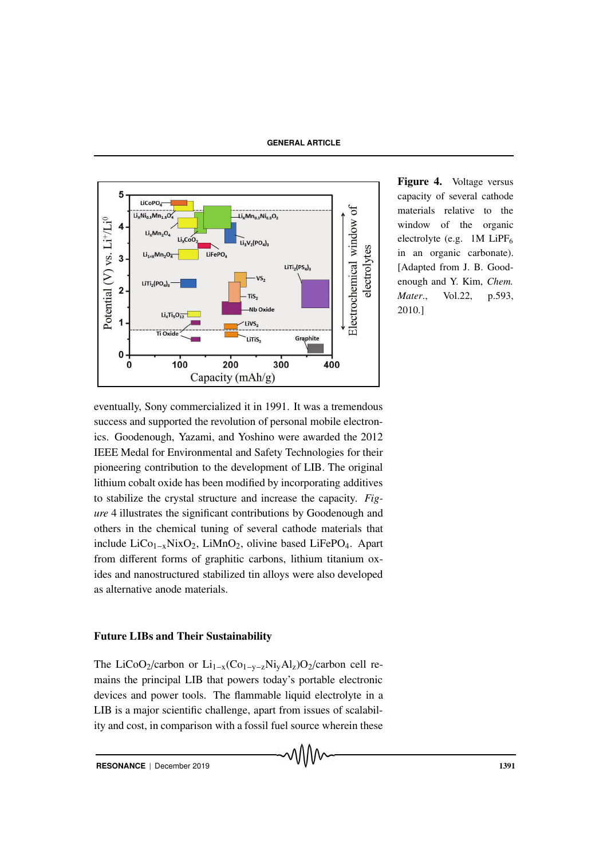

Figure 4. Voltage versus capacity of several cathode materials relative to the window of the organic electrolyte (e.g.  $1M$  LiPF<sub>6</sub> in an organic carbonate). [Adapted from J. B. Goodenough and Y. Kim, *Chem. Mater*., Vol.22, p.593, 2010.]

eventually, Sony commercialized it in 1991. It was a tremendous success and supported the revolution of personal mobile electronics. Goodenough, Yazami, and Yoshino were awarded the 2012 IEEE Medal for Environmental and Safety Technologies for their pioneering contribution to the development of LIB. The original lithium cobalt oxide has been modified by incorporating additives to stabilize the crystal structure and increase the capacity. *Figure* 4 illustrates the significant contributions by Goodenough and others in the chemical tuning of several cathode materials that include LiCo1−xNixO2, LiMnO2, olivine based LiFePO4. Apart from different forms of graphitic carbons, lithium titanium oxides and nanostructured stabilized tin alloys were also developed as alternative anode materials.

# Future LIBs and Their Sustainability

The LiCoO2/carbon or Li<sub>1−x</sub>(Co<sub>1−y−z</sub>Ni<sub>y</sub>Al<sub>z</sub>)O<sub>2</sub>/carbon cell remains the principal LIB that powers today's portable electronic devices and power tools. The flammable liquid electrolyte in a LIB is a major scientific challenge, apart from issues of scalability and cost, in comparison with a fossil fuel source wherein these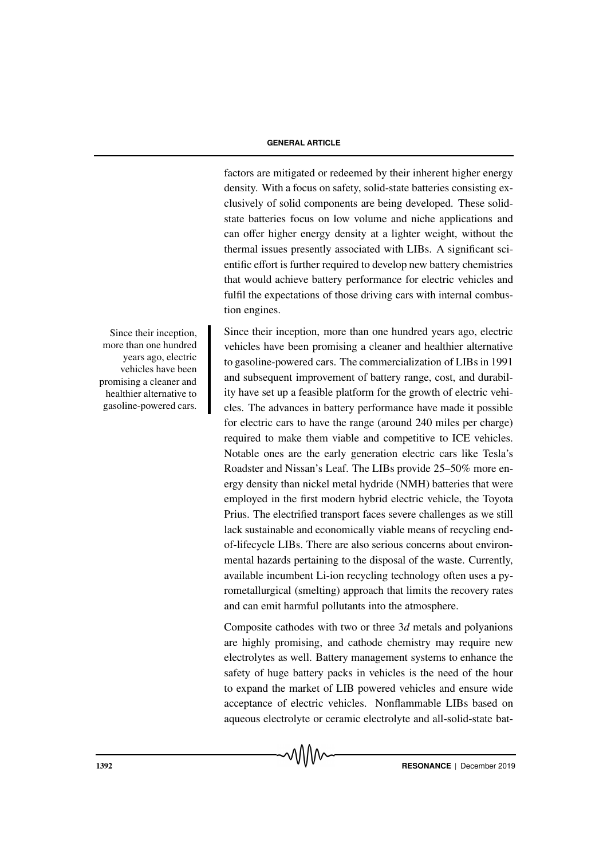factors are mitigated or redeemed by their inherent higher energy density. With a focus on safety, solid-state batteries consisting exclusively of solid components are being developed. These solidstate batteries focus on low volume and niche applications and can offer higher energy density at a lighter weight, without the thermal issues presently associated with LIBs. A significant scientific effort is further required to develop new battery chemistries that would achieve battery performance for electric vehicles and fulfil the expectations of those driving cars with internal combustion engines.

Since their inception, more than one hundred years ago, electric vehicles have been promising a cleaner and healthier alternative to gasoline-powered cars. The commercialization of LIBs in 1991 and subsequent improvement of battery range, cost, and durability have set up a feasible platform for the growth of electric vehicles. The advances in battery performance have made it possible for electric cars to have the range (around 240 miles per charge) required to make them viable and competitive to ICE vehicles. Notable ones are the early generation electric cars like Tesla's Roadster and Nissan's Leaf. The LIBs provide 25–50% more energy density than nickel metal hydride (NMH) batteries that were employed in the first modern hybrid electric vehicle, the Toyota Prius. The electrified transport faces severe challenges as we still lack sustainable and economically viable means of recycling endof-lifecycle LIBs. There are also serious concerns about environmental hazards pertaining to the disposal of the waste. Currently, available incumbent Li-ion recycling technology often uses a pyrometallurgical (smelting) approach that limits the recovery rates and can emit harmful pollutants into the atmosphere.

Composite cathodes with two or three 3*d* metals and polyanions are highly promising, and cathode chemistry may require new electrolytes as well. Battery management systems to enhance the safety of huge battery packs in vehicles is the need of the hour to expand the market of LIB powered vehicles and ensure wide acceptance of electric vehicles. Nonflammable LIBs based on aqueous electrolyte or ceramic electrolyte and all-solid-state bat-

Since their inception, more than one hundred years ago, electric vehicles have been promising a cleaner and healthier alternative to gasoline-powered cars.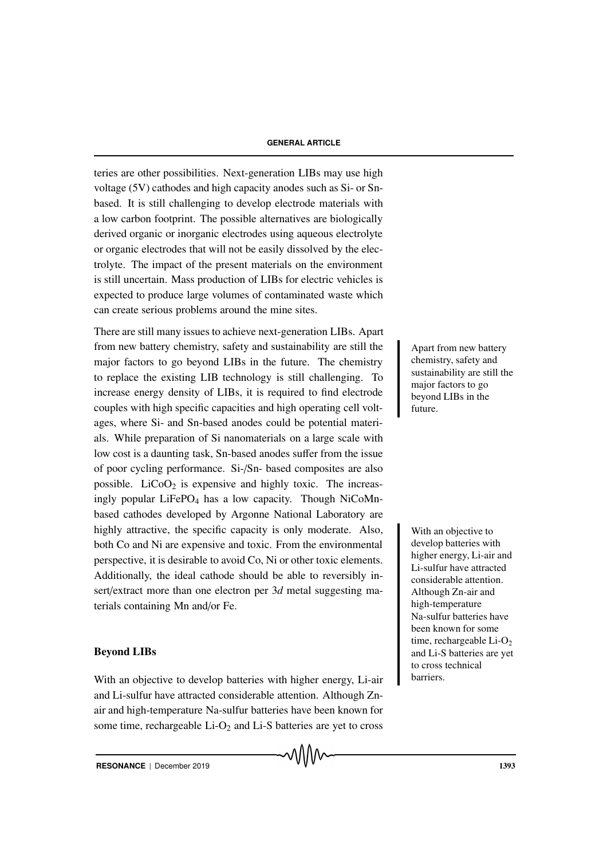teries are other possibilities. Next-generation LIBs may use high voltage (5V) cathodes and high capacity anodes such as Si- or Snbased. It is still challenging to develop electrode materials with a low carbon footprint. The possible alternatives are biologically derived organic or inorganic electrodes using aqueous electrolyte or organic electrodes that will not be easily dissolved by the electrolyte. The impact of the present materials on the environment is still uncertain. Mass production of LIBs for electric vehicles is expected to produce large volumes of contaminated waste which can create serious problems around the mine sites.

There are still many issues to achieve next-generation LIBs. Apart from new battery chemistry, safety and sustainability are still the major factors to go beyond LIBs in the future. The chemistry to replace the existing LIB technology is still challenging. To increase energy density of LIBs, it is required to find electrode couples with high specific capacities and high operating cell voltages, where Si- and Sn-based anodes could be potential materials. While preparation of Si nanomaterials on a large scale with low cost is a daunting task, Sn-based anodes suffer from the issue of poor cycling performance. Si-/Sn- based composites are also possible.  $LiCoO<sub>2</sub>$  is expensive and highly toxic. The increasingly popular LiFePO<sub>4</sub> has a low capacity. Though NiCoMnbased cathodes developed by Argonne National Laboratory are highly attractive, the specific capacity is only moderate. Also, With an objective to both Co and Ni are expensive and toxic. From the environmental perspective, it is desirable to avoid Co, Ni or other toxic elements. Additionally, the ideal cathode should be able to reversibly insert/extract more than one electron per 3*d* metal suggesting materials containing Mn and/or Fe.

#### Beyond LIBs

With an objective to develop batteries with higher energy, Li-air and Li-sulfur have attracted considerable attention. Although Znair and high-temperature Na-sulfur batteries have been known for some time, rechargeable  $Li-O<sub>2</sub>$  and  $Li-S$  batteries are yet to cross

Apart from new battery chemistry, safety and sustainability are still the major factors to go beyond LIBs in the future.

develop batteries with higher energy, Li-air and Li-sulfur have attracted considerable attention. Although Zn-air and high-temperature Na-sulfur batteries have been known for some time, rechargeable  $Li-O<sub>2</sub>$ and Li-S batteries are yet to cross technical barriers.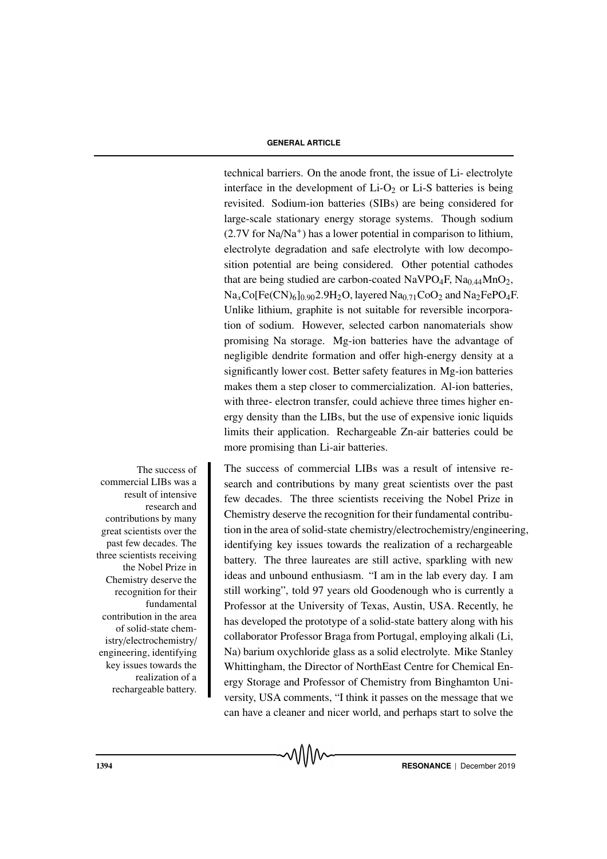technical barriers. On the anode front, the issue of Li- electrolyte interface in the development of  $Li-O<sub>2</sub>$  or  $Li-S$  batteries is being revisited. Sodium-ion batteries (SIBs) are being considered for large-scale stationary energy storage systems. Though sodium  $(2.7V$  for Na/Na<sup>+</sup>) has a lower potential in comparison to lithium, electrolyte degradation and safe electrolyte with low decomposition potential are being considered. Other potential cathodes that are being studied are carbon-coated  $NaVPO_4F$ ,  $Na<sub>0.44</sub>MnO<sub>2</sub>$ ,  $Na<sub>x</sub>Co[Fe(CN)<sub>6</sub>]$ <sub>0.90</sub>2.9H<sub>2</sub>O, layered Na<sub>0.71</sub>CoO<sub>2</sub> and Na<sub>2</sub>FePO<sub>4</sub>F. Unlike lithium, graphite is not suitable for reversible incorporation of sodium. However, selected carbon nanomaterials show promising Na storage. Mg-ion batteries have the advantage of negligible dendrite formation and offer high-energy density at a significantly lower cost. Better safety features in Mg-ion batteries makes them a step closer to commercialization. Al-ion batteries, with three- electron transfer, could achieve three times higher energy density than the LIBs, but the use of expensive ionic liquids limits their application. Rechargeable Zn-air batteries could be more promising than Li-air batteries.

The success of commercial LIBs was a result of intensive research and contributions by many great scientists over the past few decades. The three scientists receiving the Nobel Prize in Chemistry deserve the recognition for their fundamental contribution in the area of solid-state chemistry/electrochemistry/ engineering, identifying key issues towards the realization of a rechargeable battery.

The success of commercial LIBs was a result of intensive research and contributions by many great scientists over the past few decades. The three scientists receiving the Nobel Prize in Chemistry deserve the recognition for their fundamental contribution in the area of solid-state chemistry/electrochemistry/engineering, identifying key issues towards the realization of a rechargeable battery. The three laureates are still active, sparkling with new ideas and unbound enthusiasm. "I am in the lab every day. I am still working", told 97 years old Goodenough who is currently a Professor at the University of Texas, Austin, USA. Recently, he has developed the prototype of a solid-state battery along with his collaborator Professor Braga from Portugal, employing alkali (Li, Na) barium oxychloride glass as a solid electrolyte. Mike Stanley Whittingham, the Director of NorthEast Centre for Chemical Energy Storage and Professor of Chemistry from Binghamton University, USA comments, "I think it passes on the message that we can have a cleaner and nicer world, and perhaps start to solve the